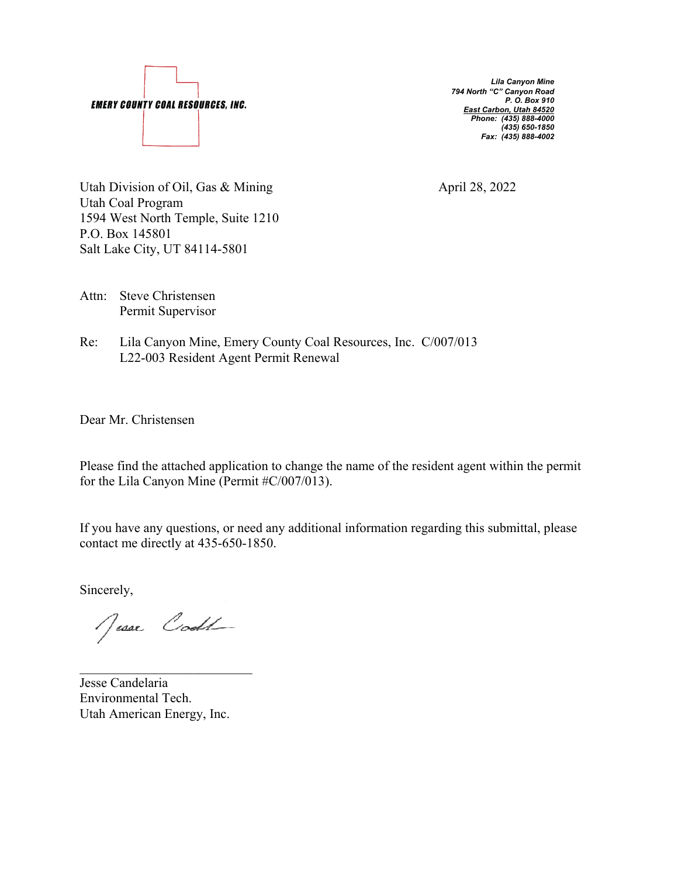

 *Lila Canyon Mine 794 North "C" Canyon Road P. O. Box 910 East Carbon, Utah 84520 Phone: (435) 888-4000 (435) 650-1850 Fax: (435) 888-4002*

Utah Division of Oil, Gas & Mining April 28, 2022 Utah Coal Program 1594 West North Temple, Suite 1210 P.O. Box 145801 Salt Lake City, UT 84114-5801

- Attn: Steve Christensen Permit Supervisor
- Re: Lila Canyon Mine, Emery County Coal Resources, Inc. C/007/013 L22-003 Resident Agent Permit Renewal

Dear Mr. Christensen

Please find the attached application to change the name of the resident agent within the permit for the Lila Canyon Mine (Permit #C/007/013).

If you have any questions, or need any additional information regarding this submittal, please contact me directly at 435-650-1850.

Sincerely,

Jesse Code

Jesse Candelaria Environmental Tech. Utah American Energy, Inc.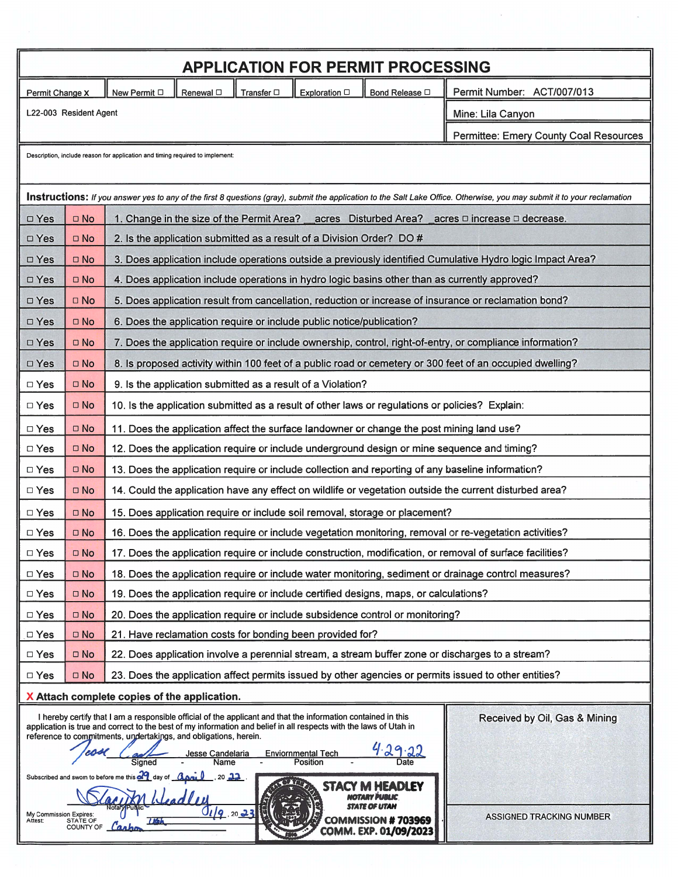|                                                                                                      |                        | <b>APPLICATION FOR PERMIT PROCESSING</b>                                                                                                                                                                                                                                                                                                                                    |                                        |  |
|------------------------------------------------------------------------------------------------------|------------------------|-----------------------------------------------------------------------------------------------------------------------------------------------------------------------------------------------------------------------------------------------------------------------------------------------------------------------------------------------------------------------------|----------------------------------------|--|
| New Permit □<br>Renewal <sup>[]</sup><br>Transfer $\square$<br>Exploration $\Box$<br>Permit Change X |                        | Bond Release $\Box$                                                                                                                                                                                                                                                                                                                                                         | Permit Number: ACT/007/013             |  |
|                                                                                                      | L22-003 Resident Agent |                                                                                                                                                                                                                                                                                                                                                                             | Mine: Lila Canyon                      |  |
|                                                                                                      |                        |                                                                                                                                                                                                                                                                                                                                                                             | Permittee: Emery County Coal Resources |  |
|                                                                                                      |                        | Description, include reason for application and timing required to implement:                                                                                                                                                                                                                                                                                               |                                        |  |
|                                                                                                      |                        |                                                                                                                                                                                                                                                                                                                                                                             |                                        |  |
|                                                                                                      |                        | Instructions: If you answer yes to any of the first 8 questions (gray), submit the application to the Salt Lake Office. Otherwise, you may submit it to your reclamation                                                                                                                                                                                                    |                                        |  |
| $\square$ Yes                                                                                        | $\square$ No           | 1. Change in the size of the Permit Area? __ acres  Disturbed Area? _                                                                                                                                                                                                                                                                                                       | acres □ increase □ decrease.           |  |
| $\square$ Yes                                                                                        | $\square$ No           | 2. Is the application submitted as a result of a Division Order? DO #                                                                                                                                                                                                                                                                                                       |                                        |  |
| □ Yes                                                                                                | $\square$ No           | 3. Does application include operations outside a previously identified Cumulative Hydro logic Impact Area?                                                                                                                                                                                                                                                                  |                                        |  |
| $\square$ Yes                                                                                        | $\square$ No           | 4. Does application include operations in hydro logic basins other than as currently approved?                                                                                                                                                                                                                                                                              |                                        |  |
| $\square$ Yes                                                                                        | $\square$ No           | 5. Does application result from cancellation, reduction or increase of insurance or reclamation bond?                                                                                                                                                                                                                                                                       |                                        |  |
| □ Yes                                                                                                | $\square$ No           | 6. Does the application require or include public notice/publication?                                                                                                                                                                                                                                                                                                       |                                        |  |
| □ Yes                                                                                                | $\square$ No           | 7. Does the application require or include ownership, control, right-of-entry, or compliance information?                                                                                                                                                                                                                                                                   |                                        |  |
| □ Yes                                                                                                | $\Box$ No              | 8. Is proposed activity within 100 feet of a public road or cemetery or 300 feet of an occupied dwelling?                                                                                                                                                                                                                                                                   |                                        |  |
| $\Box$ Yes                                                                                           | $\square$ No           | 9. Is the application submitted as a result of a Violation?                                                                                                                                                                                                                                                                                                                 |                                        |  |
| $\Box$ Yes                                                                                           | $\square$ No           | 10. Is the application submitted as a result of other laws or regulations or policies? Explain:                                                                                                                                                                                                                                                                             |                                        |  |
| $\Box$ Yes                                                                                           | $\square$ No           | 11. Does the application affect the surface landowner or change the post mining land use?                                                                                                                                                                                                                                                                                   |                                        |  |
| $\square$ Yes                                                                                        | $\square$ No           | 12. Does the application require or include underground design or mine sequence and timing?                                                                                                                                                                                                                                                                                 |                                        |  |
| $\Box$ Yes                                                                                           | $\square$ No           | 13. Does the application require or include collection and reporting of any baseline information?                                                                                                                                                                                                                                                                           |                                        |  |
| $\square$ Yes                                                                                        | $\square$ No           | 14. Could the application have any effect on wildlife or vegetation outside the current disturbed area?                                                                                                                                                                                                                                                                     |                                        |  |
| $\square$ Yes                                                                                        | $\square$ No           | 15. Does application require or include soil removal, storage or placement?                                                                                                                                                                                                                                                                                                 |                                        |  |
| $\Box$ Yes                                                                                           | $\square$ No           | 16. Does the application require or include vegetation monitoring, removal or re-vegetation activities?                                                                                                                                                                                                                                                                     |                                        |  |
| $\Box$ Yes                                                                                           | $\square$ No           | 17. Does the application require or include construction, modification, or removal of surface facilities?                                                                                                                                                                                                                                                                   |                                        |  |
| $\Box$ Yes                                                                                           | $\square$ No           | 18. Does the application require or include water monitoring, sediment or drainage control measures?                                                                                                                                                                                                                                                                        |                                        |  |
| $\Box$ Yes                                                                                           | $\square$ No           | 19. Does the application require or include certified designs, maps, or calculations?                                                                                                                                                                                                                                                                                       |                                        |  |
| □ Yes                                                                                                | $\square$ No           | 20. Does the application require or include subsidence control or monitoring?                                                                                                                                                                                                                                                                                               |                                        |  |
| $\square$ Yes                                                                                        | $\square$ No           | 21. Have reclamation costs for bonding been provided for?                                                                                                                                                                                                                                                                                                                   |                                        |  |
| $\Box$ Yes                                                                                           | $\square$ No           | 22. Does application involve a perennial stream, a stream buffer zone or discharges to a stream?                                                                                                                                                                                                                                                                            |                                        |  |
| □ Yes                                                                                                | $\square$ No           | 23. Does the application affect permits issued by other agencies or permits issued to other entities?                                                                                                                                                                                                                                                                       |                                        |  |
|                                                                                                      |                        | X Attach complete copies of the application.                                                                                                                                                                                                                                                                                                                                |                                        |  |
|                                                                                                      |                        | I hereby certify that I am a responsible official of the applicant and that the information contained in this<br>application is true and correct to the best of my information and belief in all respects with the laws of Utah in<br>reference to commitments, undertakings, and obligations, herein.<br><b>Enviornmental Tech</b><br>Jesse Candelaria<br>Name<br>Position | Received by Oil, Gas & Mining          |  |
| My Commission Expires:<br>Attest: STATE OF                                                           | COUNTY OF Canb         | Subscribed and sworn to before me this $d$ day of $\alpha$ $\alpha$ $\beta$ $\beta$ . 20 22.<br>EADLEY<br>19.2023<br><b>COMMISSION #703969</b><br>COMM. EXP. 01/09/2023                                                                                                                                                                                                     | <b>ASSIGNED TRACKING NUMBER</b>        |  |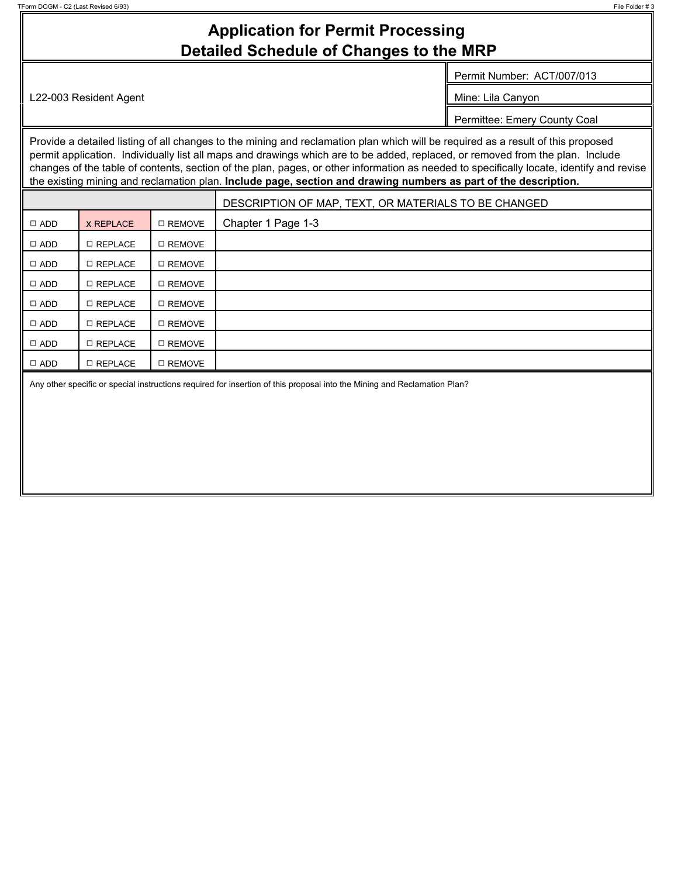## **Application for Permit Processing Detailed Schedule of Changes to the MRP**

Permit Number: ACT/007/013

L22-003 Resident Agent Mine: Lila Canyon

Permittee: Emery County Coal

Provide a detailed listing of all changes to the mining and reclamation plan which will be required as a result of this proposed permit application. Individually list all maps and drawings which are to be added, replaced, or removed from the plan. Include changes of the table of contents, section of the plan, pages, or other information as needed to specifically locate, identify and revise the existing mining and reclamation plan. **Include page, section and drawing numbers as part of the description.**

|            |                |          | DESCRIPTION OF MAP, TEXT, OR MATERIALS TO BE CHANGED |
|------------|----------------|----------|------------------------------------------------------|
| $\Box$ ADD | X REPLACE      | □ REMOVE | Chapter 1 Page 1-3                                   |
| $\Box$ ADD | □ REPLACE      | □ REMOVE |                                                      |
| $\Box$ ADD | □ REPLACE      | □ REMOVE |                                                      |
| $\Box$ ADD | □ REPLACE      | □ REMOVE |                                                      |
| $\Box$ ADD | □ REPLACE      | □ REMOVE |                                                      |
| $\Box$ ADD | □ REPLACE      | □ REMOVE |                                                      |
| $\Box$ ADD | □ REPLACE      | □ REMOVE |                                                      |
| $\Box$ ADD | $\Box$ REPLACE | □ REMOVE |                                                      |
|            |                |          |                                                      |

Any other specific or special instructions required for insertion of this proposal into the Mining and Reclamation Plan?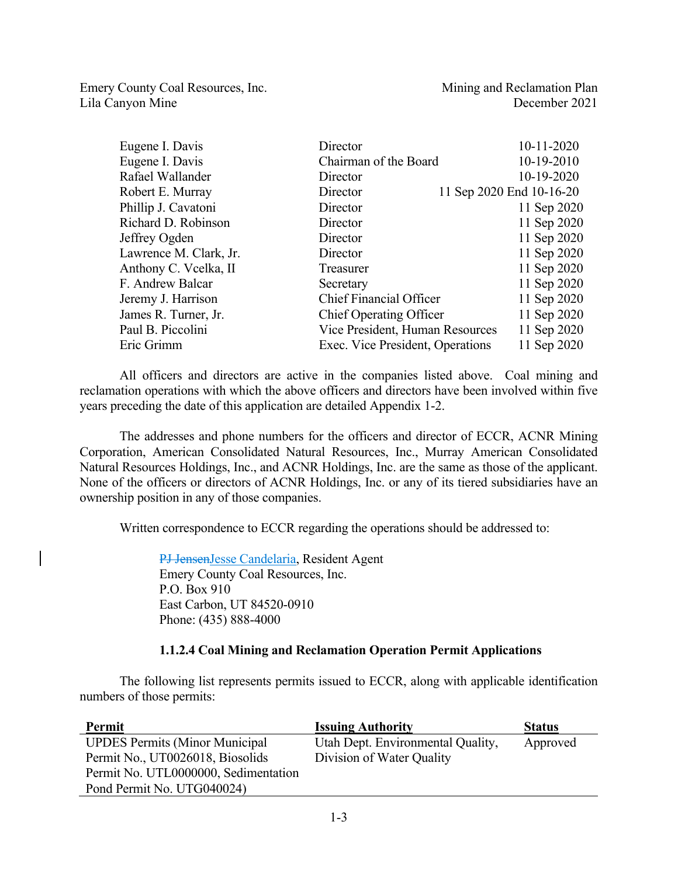Emery County Coal Resources, Inc. The Mining and Reclamation Plan Lila Canyon Mine December 2021

| Eugene I. Davis        | Director                         | 10-11-2020               |
|------------------------|----------------------------------|--------------------------|
| Eugene I. Davis        | Chairman of the Board            | 10-19-2010               |
| Rafael Wallander       | Director                         | 10-19-2020               |
| Robert E. Murray       | Director                         | 11 Sep 2020 End 10-16-20 |
| Phillip J. Cavatoni    | Director                         | 11 Sep 2020              |
| Richard D. Robinson    | Director                         | 11 Sep 2020              |
| Jeffrey Ogden          | Director                         | 11 Sep 2020              |
| Lawrence M. Clark, Jr. | Director                         | 11 Sep 2020              |
| Anthony C. Vcelka, II  | Treasurer                        | 11 Sep 2020              |
| F. Andrew Balcar       | Secretary                        | 11 Sep 2020              |
| Jeremy J. Harrison     | <b>Chief Financial Officer</b>   | 11 Sep 2020              |
| James R. Turner, Jr.   | <b>Chief Operating Officer</b>   | 11 Sep 2020              |
| Paul B. Piccolini      | Vice President, Human Resources  | 11 Sep 2020              |
| Eric Grimm             | Exec. Vice President, Operations | 11 Sep 2020              |

All officers and directors are active in the companies listed above. Coal mining and reclamation operations with which the above officers and directors have been involved within five years preceding the date of this application are detailed Appendix 1-2.

The addresses and phone numbers for the officers and director of ECCR, ACNR Mining Corporation, American Consolidated Natural Resources, Inc., Murray American Consolidated Natural Resources Holdings, Inc., and ACNR Holdings, Inc. are the same as those of the applicant. None of the officers or directors of ACNR Holdings, Inc. or any of its tiered subsidiaries have an ownership position in any of those companies.

Written correspondence to ECCR regarding the operations should be addressed to:

PJ JensenJesse Candelaria, Resident Agent Emery County Coal Resources, Inc. P.O. Box 910 East Carbon, UT 84520-0910 Phone: (435) 888-4000

## **1.1.2.4 Coal Mining and Reclamation Operation Permit Applications**

The following list represents permits issued to ECCR, along with applicable identification numbers of those permits:

| Permit                                | <b>Issuing Authority</b>          | <b>Status</b> |
|---------------------------------------|-----------------------------------|---------------|
| <b>UPDES Permits (Minor Municipal</b> | Utah Dept. Environmental Quality, | Approved      |
| Permit No., UT0026018, Biosolids      | Division of Water Quality         |               |
| Permit No. UTL0000000, Sedimentation  |                                   |               |
| Pond Permit No. UTG040024)            |                                   |               |